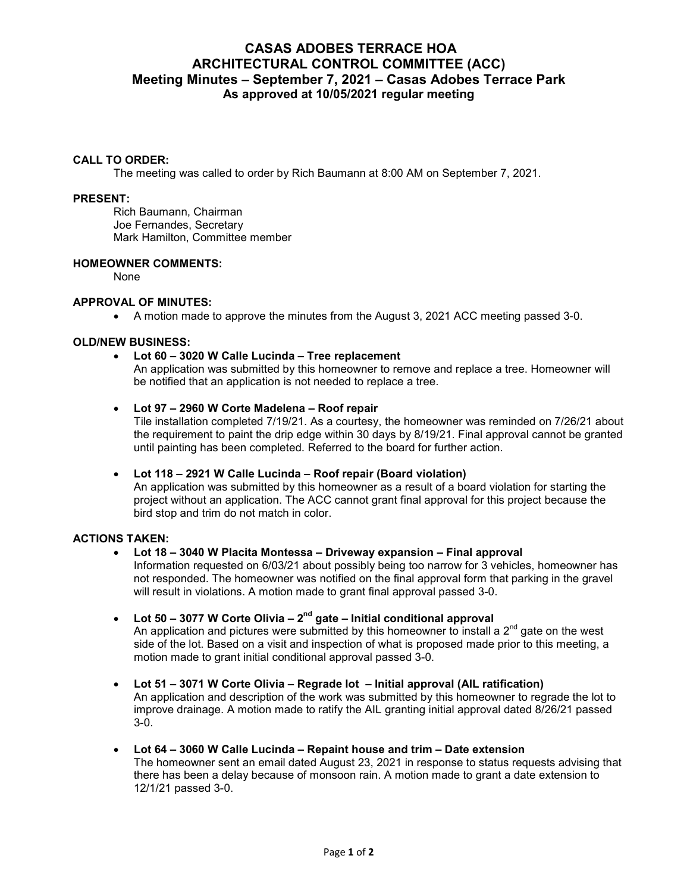# **CASAS ADOBES TERRACE HOA ARCHITECTURAL CONTROL COMMITTEE (ACC) Meeting Minutes – September 7, 2021 – Casas Adobes Terrace Park As approved at 10/05/2021 regular meeting**

#### **CALL TO ORDER:**

The meeting was called to order by Rich Baumann at 8:00 AM on September 7, 2021.

#### **PRESENT:**

Rich Baumann, Chairman Joe Fernandes, Secretary Mark Hamilton, Committee member

#### **HOMEOWNER COMMENTS:**

None

#### **APPROVAL OF MINUTES:**

A motion made to approve the minutes from the August 3, 2021 ACC meeting passed 3-0.

#### **OLD/NEW BUSINESS:**

**Lot 60 – 3020 W Calle Lucinda – Tree replacement**

An application was submitted by this homeowner to remove and replace a tree. Homeowner will be notified that an application is not needed to replace a tree.

#### **Lot 97 – 2960 W Corte Madelena – Roof repair**

Tile installation completed 7/19/21. As a courtesy, the homeowner was reminded on 7/26/21 about the requirement to paint the drip edge within 30 days by 8/19/21. Final approval cannot be granted until painting has been completed. Referred to the board for further action.

## **Lot 118 – 2921 W Calle Lucinda – Roof repair (Board violation)**

An application was submitted by this homeowner as a result of a board violation for starting the project without an application. The ACC cannot grant final approval for this project because the bird stop and trim do not match in color.

## **ACTIONS TAKEN:**

## **Lot 18 – 3040 W Placita Montessa – Driveway expansion – Final approval**

Information requested on 6/03/21 about possibly being too narrow for 3 vehicles, homeowner has not responded. The homeowner was notified on the final approval form that parking in the gravel will result in violations. A motion made to grant final approval passed 3-0.

**Lot 50 – 3077 W Corte Olivia – 2nd gate – Initial conditional approval**

An application and pictures were submitted by this homeowner to install a  $2<sup>nd</sup>$  gate on the west side of the lot. Based on a visit and inspection of what is proposed made prior to this meeting, a motion made to grant initial conditional approval passed 3-0.

- **Lot 51 3071 W Corte Olivia Regrade lot Initial approval (AIL ratification)** An application and description of the work was submitted by this homeowner to regrade the lot to improve drainage. A motion made to ratify the AIL granting initial approval dated 8/26/21 passed 3-0.
- **Lot 64 3060 W Calle Lucinda Repaint house and trim Date extension** The homeowner sent an email dated August 23, 2021 in response to status requests advising that there has been a delay because of monsoon rain. A motion made to grant a date extension to 12/1/21 passed 3-0.